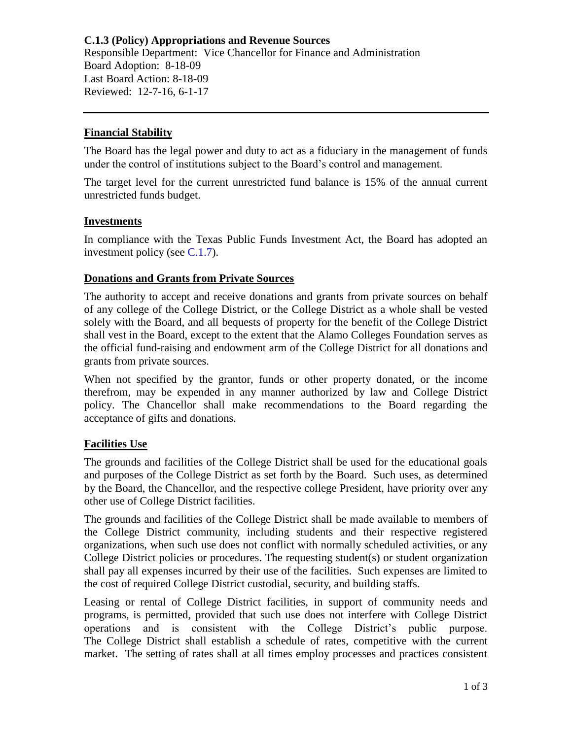**C.1.3 (Policy) Appropriations and Revenue Sources** Responsible Department: Vice Chancellor for Finance and Administration Board Adoption: 8-18-09 Last Board Action: 8-18-09 Reviewed: 12-7-16, 6-1-17

### **Financial Stability**

The Board has the legal power and duty to act as a fiduciary in the management of funds under the control of institutions subject to the Board's control and management.

The target level for the current unrestricted fund balance is 15% of the annual current unrestricted funds budget.

#### **Investments**

In compliance with the Texas Public Funds Investment Act, the Board has adopted an investment policy (see [C.1.7\)](https://www.alamo.edu/siteassets/district/about-us/leadership/board-of-trustees/policies-pdfs/section-c/c.1.7-policy111218.pdf).

## **Donations and Grants from Private Sources**

The authority to accept and receive donations and grants from private sources on behalf of any college of the College District, or the College District as a whole shall be vested solely with the Board, and all bequests of property for the benefit of the College District shall vest in the Board, except to the extent that the Alamo Colleges Foundation serves as the official fund-raising and endowment arm of the College District for all donations and grants from private sources.

When not specified by the grantor, funds or other property donated, or the income therefrom, may be expended in any manner authorized by law and College District policy. The Chancellor shall make recommendations to the Board regarding the acceptance of gifts and donations.

# **Facilities Use**

The grounds and facilities of the College District shall be used for the educational goals and purposes of the College District as set forth by the Board. Such uses, as determined by the Board, the Chancellor, and the respective college President, have priority over any other use of College District facilities.

The grounds and facilities of the College District shall be made available to members of the College District community, including students and their respective registered organizations, when such use does not conflict with normally scheduled activities, or any College District policies or procedures. The requesting student(s) or student organization shall pay all expenses incurred by their use of the facilities. Such expenses are limited to the cost of required College District custodial, security, and building staffs.

Leasing or rental of College District facilities, in support of community needs and programs, is permitted, provided that such use does not interfere with College District operations and is consistent with the College District's public purpose. The College District shall establish a schedule of rates, competitive with the current market. The setting of rates shall at all times employ processes and practices consistent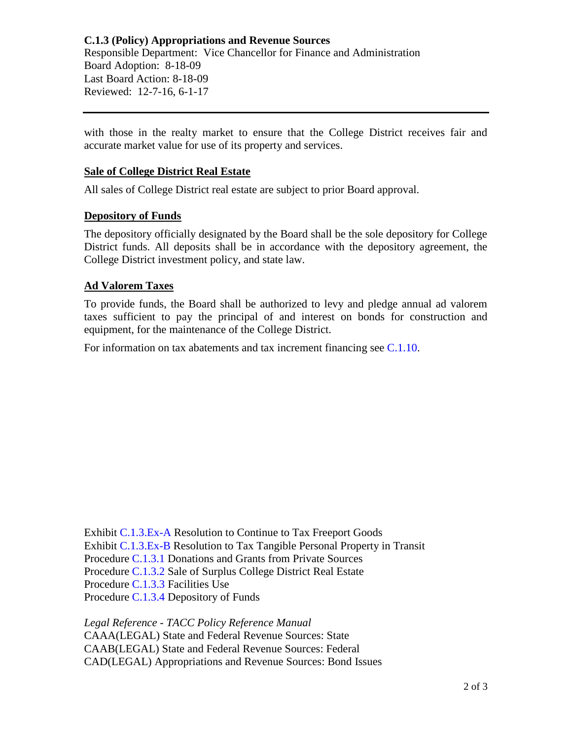with those in the realty market to ensure that the College District receives fair and accurate market value for use of its property and services.

## **Sale of College District Real Estate**

All sales of College District real estate are subject to prior Board approval.

#### **Depository of Funds**

The depository officially designated by the Board shall be the sole depository for College District funds. All deposits shall be in accordance with the depository agreement, the College District investment policy, and state law.

#### **Ad Valorem Taxes**

To provide funds, the Board shall be authorized to levy and pledge annual ad valorem taxes sufficient to pay the principal of and interest on bonds for construction and equipment, for the maintenance of the College District.

For information on tax abatements and tax increment financing see [C.1.10.](https://www.alamo.edu/siteassets/district/about-us/leadership/board-of-trustees/policies-pdfs/section-c/c.1.10-policy.pdf)

Exhibit [C.1.3.Ex-A](https://www.alamo.edu/siteassets/district/about-us/leadership/board-of-trustees/policies-pdfs/section-c/c.1.3.ex.a-exhibit.pdf) Resolution to Continue to Tax Freeport Goods Exhibit [C.1.3.Ex-B](https://www.alamo.edu/siteassets/district/about-us/leadership/board-of-trustees/policies-pdfs/section-c/c.1.3.ex.b-exhibit.pdf) Resolution to Tax Tangible Personal Property in Transit Procedure [C.1.3.1](https://www.alamo.edu/siteassets/district/about-us/leadership/board-of-trustees/policies-pdfs/section-c/c.1.3.1-procedure.pdf) Donations and Grants from Private Sources Procedure [C.1.3.2](https://www.alamo.edu/siteassets/district/about-us/leadership/board-of-trustees/policies-pdfs/section-c/c.1.3.2-procedure.pdf) Sale of Surplus College District Real Estate Procedure [C.1.3.3](https://www.alamo.edu/siteassets/district/about-us/leadership/board-of-trustees/policies-pdfs/section-c/c.1.3.3-procedure.pdf) Facilities Use Procedure [C.1.3.4](https://www.alamo.edu/siteassets/district/about-us/leadership/board-of-trustees/policies-pdfs/section-c/c.1.3.4-procedure.pdf) Depository of Funds

*Legal Reference - TACC Policy Reference Manual* CAAA(LEGAL) State and Federal Revenue Sources: State CAAB(LEGAL) State and Federal Revenue Sources: Federal CAD(LEGAL) Appropriations and Revenue Sources: Bond Issues